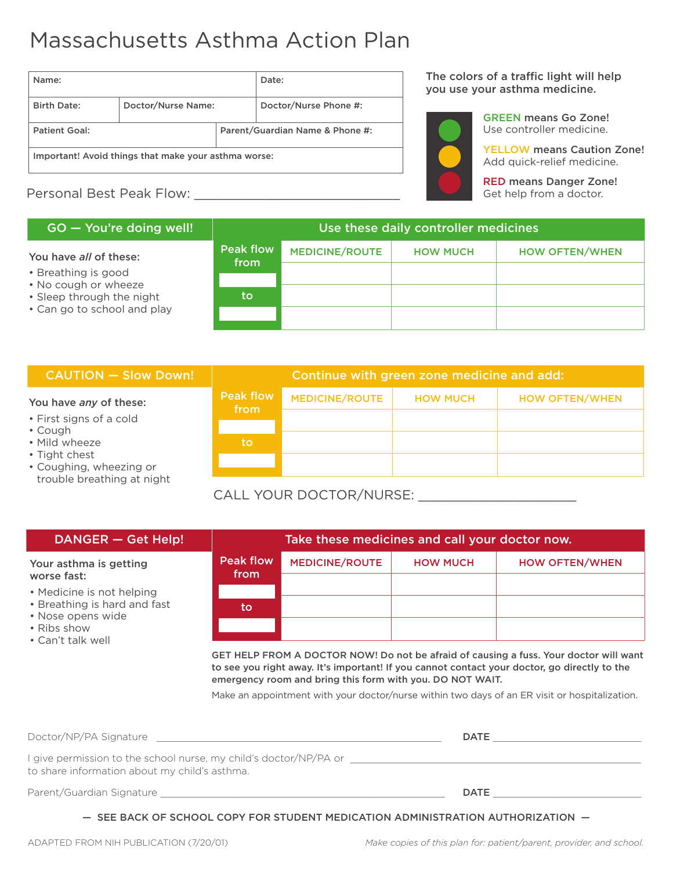# Massachusetts Asthma Action Plan

| Name:                                                |                    | Date:                           |                       |  |
|------------------------------------------------------|--------------------|---------------------------------|-----------------------|--|
| <b>Birth Date:</b>                                   | Doctor/Nurse Name: |                                 | Doctor/Nurse Phone #: |  |
| Patient Goal:                                        |                    | Parent/Guardian Name & Phone #: |                       |  |
| Important! Avoid things that make your asthma worse: |                    |                                 |                       |  |

# Personal Best Peak Flow:

## $GO - You're doing well!$

## You have *all* of these:

- Breathing is good
- No cough or wheeze
- Sleep through the night • Can go to school and play

| Peak flow<br>from | <b>MEDICINE/ROUTE</b> | <b>HOW MUCH</b> | <b>HOW OFTEN/WHEN</b> |  |  |  |
|-------------------|-----------------------|-----------------|-----------------------|--|--|--|
|                   |                       |                 |                       |  |  |  |
|                   |                       |                 |                       |  |  |  |
| to                |                       |                 |                       |  |  |  |
|                   |                       |                 |                       |  |  |  |
|                   |                       |                 |                       |  |  |  |

## **CAUTION – Slow Down!**

#### You have *any* of these:

- First signs of a cold
- Cough
- Mild wheeze
- Tight chest
- Coughing, wheezing or trouble breathing at night

|                          | Continue with green zone medicine and add: |                 |                       |  |
|--------------------------|--------------------------------------------|-----------------|-----------------------|--|
| <b>Peak flow</b><br>from | <b>MEDICINE/ROUTE</b>                      | <b>HOW MUCH</b> | <b>HOW OFTEN/WHEN</b> |  |
|                          |                                            |                 |                       |  |
| to                       |                                            |                 |                       |  |
|                          |                                            |                 |                       |  |

## CALL YOUR DOCTOR/NURSE:

| DANGER - Get Help!                                                             | Take these medicines and call your doctor now. |                       |                 |                       |
|--------------------------------------------------------------------------------|------------------------------------------------|-----------------------|-----------------|-----------------------|
| Your asthma is getting<br>worse fast:                                          | <b>Peak flow</b><br>from                       | <b>MEDICINE/ROUTE</b> | <b>HOW MUCH</b> | <b>HOW OFTEN/WHEN</b> |
|                                                                                |                                                |                       |                 |                       |
| • Medicine is not helping<br>• Breathing is hard and fast<br>• Nose opens wide | to                                             |                       |                 |                       |
| • Ribs show<br>• Can't talk well                                               |                                                |                       |                 |                       |

GET HELP FROM A DOCTOR NOW! Do not be afraid of causing a fuss. Your doctor will want to see you right away. It's important! If you cannot contact your doctor, go directly to the emergency room and bring this form with you. DO NOT WAIT.

Make an appointment with your doctor/nurse within two days of an ER visit or hospitalization.

| Doctor/NP/PA Signature                                                                                             | <b>DATE</b> |  |
|--------------------------------------------------------------------------------------------------------------------|-------------|--|
| I give permission to the school nurse, my child's doctor/NP/PA or<br>to share information about my child's asthma. |             |  |
| Parent/Guardian Signature                                                                                          | <b>DATE</b> |  |

— SEE BACK OF SCHOOL COPY FOR STUDENT MEDICATION ADMINISTRATION AUTHORIZATION —

The colors of a traffic light will help you use your asthma medicine.



GREEN means Go Zone! Use controller medicine.

YELLOW means Caution Zone! Add quick-relief medicine.

RED means Danger Zone! Get help from a doctor.